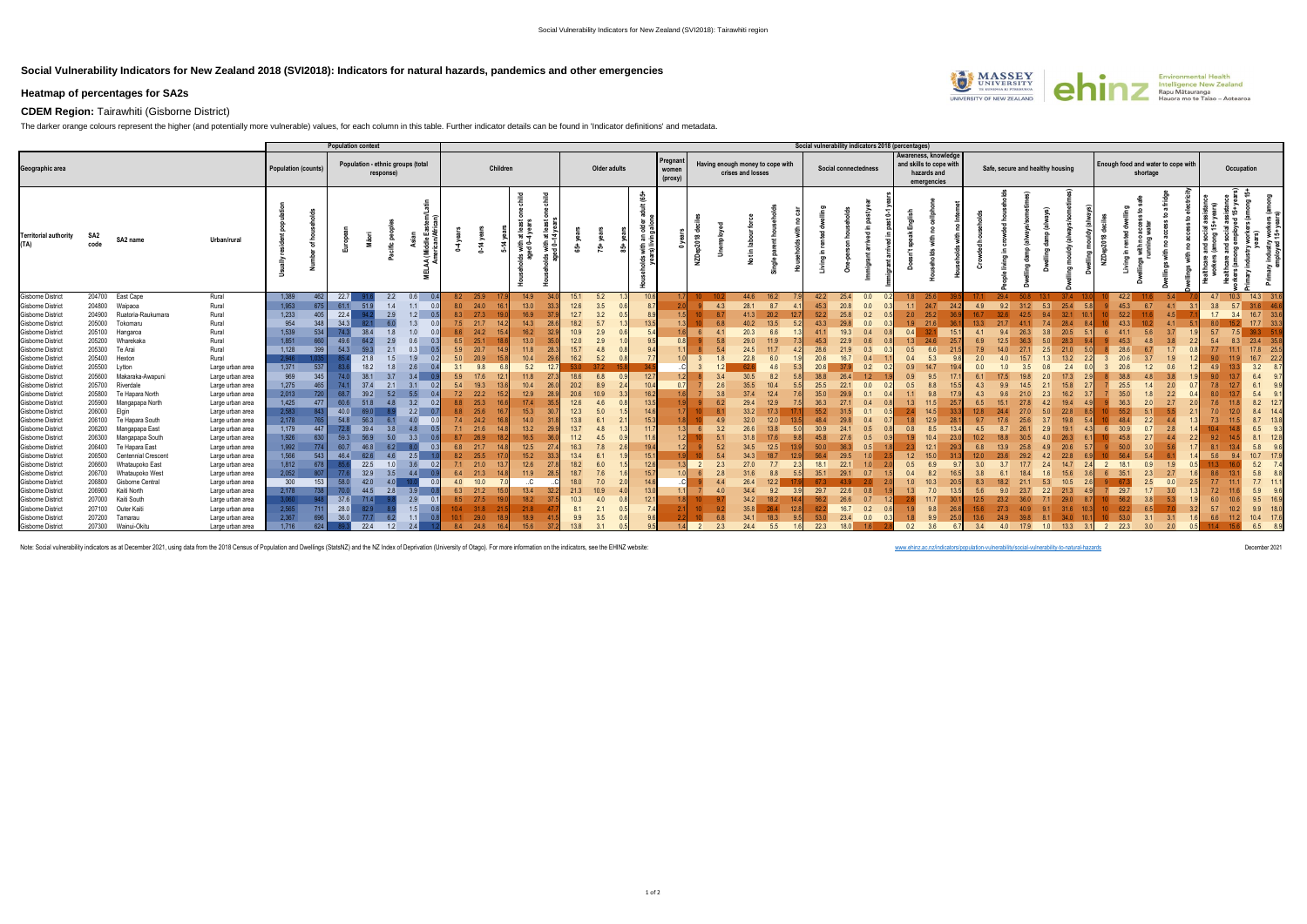## **Social Vulnerability Indicators for New Zealand 2018 (SVI2018): Indicators for natural hazards, pandemics and other emergencies**



## **CDEM Region:** Tairawhiti (Gisborne District)

The darker orange colours represent the higher (and potentially more vulnerable) values, for each column in this table. Further indicator details can be found in 'Indicator definitions' and metadata.

|                                                      |             |                                             |                                      |                     | <b>Population context</b> |                                                |            |            |                    |              |                |              |              |          |                             |                |            |                   |                                  | Social vulnerability indicators 2018 (percentages) |                      |     |            |                                                                               |     |                                  |             |                   |                 |                                    |          |     |     |                    |      |
|------------------------------------------------------|-------------|---------------------------------------------|--------------------------------------|---------------------|---------------------------|------------------------------------------------|------------|------------|--------------------|--------------|----------------|--------------|--------------|----------|-----------------------------|----------------|------------|-------------------|----------------------------------|----------------------------------------------------|----------------------|-----|------------|-------------------------------------------------------------------------------|-----|----------------------------------|-------------|-------------------|-----------------|------------------------------------|----------|-----|-----|--------------------|------|
| Geographic area                                      |             |                                             |                                      | Population (counts) |                           | Population - ethnic groups (total<br>response) |            |            | Children           |              |                |              | Older adults |          | Pregnan<br>women<br>(proxy) |                |            | crises and losses | Having enough money to cope with |                                                    | Social connectedness |     |            | Awareness, knowledge<br>and skills to cope with<br>hazards and<br>emergencies |     | Safe, secure and healthy housing |             |                   |                 | Enough food and water to cope with | shortage |     |     | Occupation         |      |
| <b>Territorial authority</b><br>(TA)                 | SA2<br>code | SA2 name                                    | Urban/rural                          |                     |                           |                                                |            |            | $\sharp$           | ಾ            | ith at<br>6-14 |              | $\dot{5}$    | t (65+   |                             | ğ              |            |                   |                                  |                                                    |                      |     |            |                                                                               |     |                                  |             |                   |                 | â                                  |          |     |     |                    |      |
| <b>Gisborne District</b>                             |             | 204700 East Cape                            | Rural                                | 1,389               | 22.7                      | 2.2                                            | 0.6        |            | 8.2 25.9           | 14.9         | 34.            | 15.1         | 5.2          | 10.6     |                             |                |            | 44.6 16.2         |                                  | 42.2                                               | 25.4                 | 0.0 | 1.8        | 25.6                                                                          |     | 29.4                             |             | $37.4$ 1          |                 | 42.2                               | 11.6     | 5.4 |     | 4.7 10.3 14.3 31.6 |      |
| <b>Gisborne District</b>                             |             | 204800 Waipaoa                              | Rural                                | 1,953               | 61.1<br>675               | 1.4<br>51.9                                    | 1.1        | 8.0        | 24.0<br>16.        | $13.0$       | 33.3           | 12.6         | 3.5          |          |                             |                | 4.3        | 28.1              | 8.7                              | 45.3                                               | 20.8                 | 0.0 | 1.1        | 24.7                                                                          | 4.9 | 9.2                              | 31.2<br>5.3 | 25.4              |                 | 45.3                               | 6.7      | 4.1 | 3.8 | 31.6<br>5.7        | 46.6 |
| <b>Gisborne District</b>                             |             | 204900 Ruatoria-Raukumara                   | Rural                                | 1,233               | 22.4<br>405               | 2.9                                            | 1.2<br>0.5 | 8.3        | 27.3               | 16.9<br>19.0 | 37.            | 12.7         | 3.2          |          |                             |                | 87         | 41.3              | 20.2<br>12.7                     | 52.2                                               | 25.8                 | 0.2 | 2.0        | 25.2                                                                          |     |                                  |             | 32.1              |                 | 52.2                               |          | 4.5 | 1.7 | 16.7<br>3.4        | 33.6 |
| <b>Gisborne District</b>                             |             | 205000 Tokomaru                             | Rural                                | 954                 | 34.3<br>348               | 6.0                                            | 1.3        | 7.5        | 21.7<br>14.        | 14.3         | 28.            | 18.2         | 5.7          |          |                             |                | 68         | 40.2              | 13.5                             | 43.3                                               | 29.8                 | 0.0 | 1.9        | 21.6                                                                          |     |                                  |             | 28.4              |                 | 43.3                               |          | 4.1 |     |                    | 33.3 |
| <b>Gisborne District</b>                             |             | 205100 Hangaroa                             | Rural                                | 1,539               | 534<br>-74.3              | 1.8                                            | 1.0        | 8.6        | 24.2               | 16.2         |                | 10.9         | 2.9          |          |                             |                |            | 20.3              | 6.6                              |                                                    | 19.3                 | 0.4 | 0.4        |                                                                               |     |                                  |             | 20.5              |                 |                                    |          | 3.7 |     |                    |      |
| <b>Gisborne District</b>                             | 205200      | Wharekaka                                   | Rural                                | 1,851               |                           |                                                |            | 6.5        |                    | 13.0         |                | 12.0         | 2.9          |          |                             |                |            | 29.0              | 11.9                             |                                                    | 22.9                 |     | 1.3        | 24.6                                                                          |     |                                  |             | 28.3              |                 |                                    |          |     |     | 23.4               | 35.8 |
| <b>Gisborne District</b>                             |             | 205300 Te Arai                              | Rural                                | 1,128               | 54.3<br>399               | 2.1                                            | 0.3<br>0.5 | 5.9        | 20.7               | 11.8         | 28.            | 15.7         | 4.8          |          |                             |                |            | 24.5              | 11.7                             | 28.6                                               | 21.9                 | 0.3 | 0.5        | 6.6                                                                           |     |                                  |             | 21.0              |                 |                                    |          |     |     |                    | 25.5 |
| <b>Gisborne District</b>                             |             | 205400 Hexton                               | Rural                                | 2.946               |                           | 1.5<br>21.8                                    | 1.9        | 5.0        | 20.9<br>15         | 10.4         | 29.            | 16.2<br>530  | 5.2          |          |                             |                | 18         | 22.8              | 6.0                              | 20.6                                               | 16.7                 | 0.4 | 0.4        | 5.3                                                                           |     |                                  |             | 13.2              |                 |                                    |          |     |     |                    | 22.2 |
| <b>Gisborne District</b>                             | 205500      | Lytton                                      | Large urban area                     | 1,371               | 537                       | 18.2                                           | 2.6        | 3.1        | 9.8                | 5.2          | 12.7           |              |              |          |                             |                |            |                   | 4.6                              |                                                    |                      | 0.2 | 0.9        | 14.7                                                                          |     |                                  |             | 2.4               |                 |                                    |          |     |     | 3.2                |      |
| <b>Gisborne District</b>                             |             | 205600 Makaraka-Awapuni<br>205700 Riverdale | Large urban area                     | 969<br>1,275        | 74<br>345                 | 38.1<br>3.7<br>37.4<br>2.1                     | 3.4<br>3.1 | 5.9<br>5.4 | 17.6<br>12<br>19.3 | 11.8<br>10.4 | -27.           | 18.6<br>20.2 | 6.8<br>8.9   | 12<br>10 |                             |                | 3.4<br>2.6 | 30.5<br>35.5      | 8.2<br>10.4                      | 38.8<br>25.5                                       | 26.4<br>22.1         | 0.0 | 0.9<br>0.5 | 9.5<br>8.8                                                                    |     |                                  |             | 17.3<br>15.8      |                 | 25.5                               |          | 2.0 |     | 6.4<br>61          |      |
| <b>Gisborne District</b><br><b>Gisborne District</b> |             | 205800 Te Hapara North                      | Large urban area                     | 2,013               |                           | 39.2                                           |            | 7.2        | 22.2               | 12.9         | 28.            | 20.6         |              | 16       |                             |                | 3.8        |                   | 12.4                             | 35.0                                               |                      | 0.1 |            | 9.8                                                                           |     |                                  |             | 16.2              |                 |                                    |          |     |     | 5.4                |      |
| <b>Gisborne District</b>                             |             | 205900 Mangapapa North                      | Large urban area<br>Large urban area | 1,425               | 477<br>60.6               | 51.8<br>4.8                                    | 3.2        | 8.8        | 25.3               | 17.4         | 35.            | $12.6$       |              | 13.      |                             |                |            | 29.4              | 12.9                             | 36.3                                               |                      | 0.4 | 1.3        | 11.5                                                                          |     |                                  |             | 19.4              |                 | 36.3                               |          |     |     | 8.2                | 12.7 |
| <b>Gisborne District</b>                             | 206000      | Elgin                                       | Large urban area                     | 2,583               | 40.0                      |                                                |            | 8.8        |                    | 15.3         |                | 12.3         | 5.0          |          |                             |                |            | 33.2              | 17.3                             | 55.2                                               |                      |     |            |                                                                               |     |                                  |             | 22.8              |                 |                                    |          |     |     | 8.4                |      |
| <b>Gisborne District</b>                             |             | 206100 Te Hapara South                      | Large urban area                     | 2,178               | 54.8                      |                                                |            | 7.4        | 24.2               | 14.0         |                | 13.8         |              | 15       |                             |                | 4.9        | 32.0              | 12.0                             | 48.4                                               |                      |     |            | 12.9                                                                          |     |                                  |             | 19.8              |                 |                                    |          |     |     | 8.7                |      |
| <b>Gisborne District</b>                             | 206200      | Mangapapa East                              | Large urban area                     | 1,179               | 72.8<br>447               | 3.8                                            | 4.8        | 7.1        | 21.6               | 13.2         | 29.            | 13.7         |              | 11       |                             |                | 3.2        | 26.6              | 13.8                             | 30.9                                               |                      | 0.5 | 0.8        | 8.5                                                                           |     |                                  |             | 19.1              |                 |                                    |          | 2.8 |     | 6.5                | 93   |
| <b>Gisborne District</b>                             | 206300      | Mangapapa South                             | Large urban area                     | 1,926               | 59.3                      | 5.0                                            | 3.3        | 8.7        | 26.9               | 16.5         |                | 11.2         | 4.5          |          |                             |                | 5.1        | 31.8              | 17.6                             | 45.8                                               |                      | 0.5 |            | 10.4                                                                          |     |                                  |             | 26.3              |                 |                                    |          |     |     | 8.1                |      |
| <b>Gisborne District</b>                             | 206400      | Te Hapara East                              | Large urban area                     | 1,992               | 60.7                      |                                                |            | 6.8        | 21.7               | 12.5         | 27.            | 16.3         | 7.8          | 19       |                             |                | 5.2        | 34.5              | 12.5                             | 50.0                                               |                      | 0.5 |            | 12.1                                                                          |     |                                  |             | 20.6              |                 |                                    |          |     |     | 5.8                |      |
| <b>Gisborne District</b>                             | 206500      | <b>Centennial Crescent</b>                  | Large urban area                     | 1,566               | 46.4<br>543               |                                                | 2.5        | 8.2        | 25.5               | 15.2         | 33.            | 13.4         |              | 15       |                             |                | 54         |                   | 18.7                             |                                                    | 29.5                 |     | 1.2        | 15.0                                                                          |     |                                  |             | 22.8              |                 |                                    |          |     | 5.6 | 10.7               |      |
| <b>Gisborne District</b>                             | 206600      | Whataupoko East                             | Large urban area                     | 1,812               | 678                       | 22.5<br>1.0                                    |            |            | $7.1$ 21.0<br>13.  | 12.6         | 27             | 18.2         | 6.0          | 12       |                             |                | 2.3        | 27.0              | 7.7                              | 18.1                                               | 22.1                 |     | 0.5        | 6.9                                                                           | 3.0 |                                  | 177         | 14.7              |                 | 18.1                               | 0.9      | 1.9 |     | 5.2                |      |
| <b>Gisborne District</b>                             |             | 206700 Whataupoko West                      | Large urban area                     | 2,052               |                           | 32.9<br>3.5                                    | 4.4        | 6.4        | 21.3<br>14         | 11.9         | 28.            | 18.7         | 7.6          | 15       |                             |                | 2.8        | 31.6              | 8.8                              | 35.1                                               | 29.1                 | 0.7 | 0.4        | 8.2                                                                           |     |                                  |             | 15.6              |                 |                                    |          | 2.7 |     | 5.8                |      |
| <b>Gisborne District</b>                             | 206800      | Gisborne Central                            | Large urban area                     | 300                 | 58.0<br>153               | 42.0<br>40                                     | 0.0        | 4.0        | 10.0               | .C.          |                | 18.0         | 7.0          |          |                             |                | 4.4        | 26.4              | 12.2                             | 673                                                |                      |     | 1.0        | 10.3                                                                          |     |                                  |             | 10.5              |                 |                                    | 2.5      |     |     | 7.7                |      |
| Gisborne District                                    |             | 206900 Kaiti North                          | Large urban area                     | 2,178               | 70.0<br>-738              | 44.5<br>2.8                                    | 3.9        | 6.3        | 21.2               | 13.4         |                | 21.3         |              | 13       |                             |                | 4.0        | 34.4              | 9.2                              | 29.7                                               | 22.6                 | 0.8 | 1.3        | 7.0                                                                           |     |                                  |             | 21.3              |                 | 29.7                               |          |     |     | 5.9                |      |
| <b>Gisborne District</b>                             |             | 207000 Kaiti South                          | Large urban area                     |                     | 37.6                      | 71.4                                           | 2.9        | 8.5        | 27.5               | 18.2         | 37.            | 10.3         | 4.0          | 12.      |                             |                |            | 34.2              | 18.2                             | 56.2                                               | 26.6                 | 0.7 |            | 11.7                                                                          |     |                                  |             | 29.0              |                 |                                    |          |     |     | 9.5                |      |
| <b>Gisborne District</b>                             |             | 207100 Outer Kaiti                          | Large urban area                     | 2,565               | 28.0<br>711               | 82.9                                           | 1.5        | 10.4       |                    | 21.8         |                | 8.1          |              |          |                             |                |            | 35.8              | 26.4                             |                                                    | 16.7                 | 0.2 |            | 9.8                                                                           |     |                                  |             |                   |                 |                                    |          |     |     | 9.9                |      |
| <b>Gisborne District</b>                             |             | 207200 Tamarau                              | Large urban area                     | 2,367               | 36.0                      | 77.7<br>-62                                    | 11<br>0.81 |            |                    | 18.9<br>18.9 |                | 9.9          | 3.5          |          |                             |                |            | 34.1              | 18.3                             |                                                    | 23.4                 | 0.0 |            | 9.9                                                                           |     |                                  |             |                   |                 |                                    |          |     | 6.6 | 10.4               | 17.6 |
| Gisborne District                                    |             | 207300 Wainui-Okitu                         | Large urban area                     | 1,716               | 624                       | 22.4<br>1.2                                    | 2.4        |            | 8.4 24.8           | 15.6<br>164  | 37             | 13.8         | 31           |          |                             | $\overline{2}$ | 2.3        | 24.4              | 5.5                              | 22.3                                               | 18.0                 |     | 0.2        | 3.6                                                                           | 3.4 |                                  |             | 4.0 17.9 1.0 13.3 | $\overline{31}$ | 2 22.3                             | 3.0      | 2.0 |     | 6.5 8.9            |      |

Note: Social vulnerability indicators as at December 2021, using data from the 2018 Census of Population and Dwellings (StatsNZ) and the NZ Index of Deprivation (University of Otago). For more information on the indicators